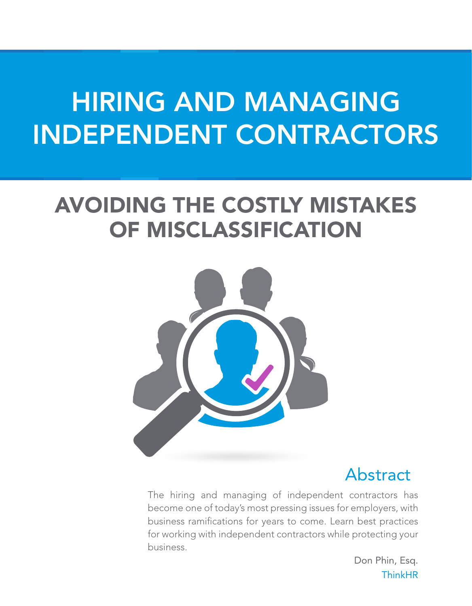# HIRING AND MANAGING INDEPENDENT CONTRACTORS

## AVOIDING THE COSTLY MISTAKES OF MISCLASSIFICATION



## Abstract

The hiring and managing of independent contractors has become one of today's most pressing issues for employers, with business ramifications for years to come. Learn best practices for working with independent contractors while protecting your business.

> Don Phin, Esq. **ThinkHR**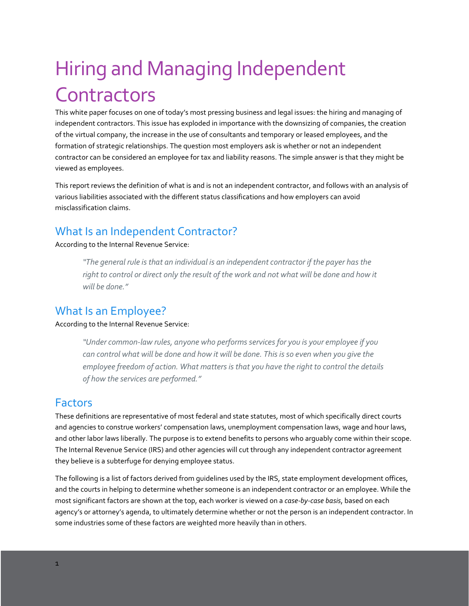## Hiring and Managing Independent **Contractors**

This white paper focuses on one of today's most pressing business and legal issues: the hiring and managing of independent contractors. This issue has exploded in importance with the downsizing of companies, the creation of the virtual company, the increase in the use of consultants and temporary or leased employees, and the formation of strategic relationships. The question most employers ask is whether or not an independent contractor can be considered an employee for tax and liability reasons. The simple answer is that they might be viewed as employees.

This report reviews the definition of what is and is not an independent contractor, and follows with an analysis of various liabilities associated with the different status classifications and how employers can avoid misclassification claims.

#### What Is an Independent Contractor?

#### According to the Internal Revenue Service:

*"The general rule is that an individual is an independent contractor if the payer has the*  right to control or direct only the result of the work and not what will be done and how it *will be done."* 

#### What Is an Employee?

#### According to the Internal Revenue Service:

*"Under common-law rules, anyone who performs services for you is your employee if you can control what will be done and how it will be done. This is so even when you give the employee freedom of action. What matters is that you have the right to control the details of how the services are performed."*

#### Factors

These definitions are representative of most federal and state statutes, most of which specifically direct courts and agencies to construe workers' compensation laws, unemployment compensation laws, wage and hour laws, and other labor laws liberally. The purpose is to extend benefits to persons who arguably come within their scope. The Internal Revenue Service (IRS) and other agencies will cut through any independent contractor agreement they believe is a subterfuge for denying employee status.

The following is a list of factors derived from guidelines used by the IRS, state employment development offices, and the courts in helping to determine whether someone is an independent contractor or an employee. While the most significant factors are shown at the top, each worker is viewed on a *case-by-case basis*, based on each agency's or attorney's agenda, to ultimately determine whether or not the person is an independent contractor. In some industries some of these factors are weighted more heavily than in others.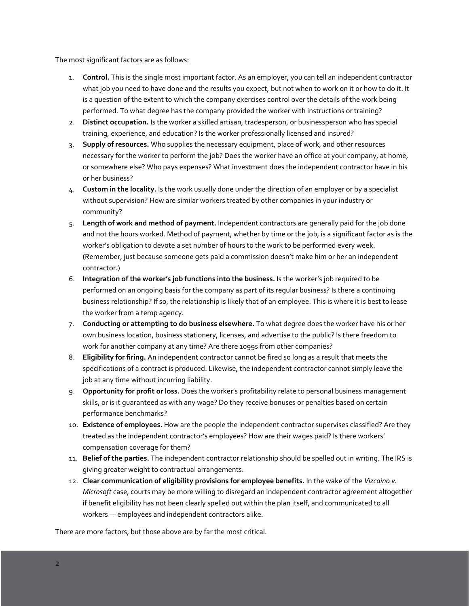The most significant factors are as follows:

- 1. **Control.** This is the single most important factor. As an employer, you can tell an independent contractor what job you need to have done and the results you expect, but not when to work on it or how to do it. It is a question of the extent to which the company exercises control over the details of the work being performed. To what degree has the company provided the worker with instructions or training?
- 2. **Distinct occupation.** Is the worker a skilled artisan, tradesperson, or businessperson who has special training, experience, and education? Is the worker professionally licensed and insured?
- 3. **Supply of resources.** Who supplies the necessary equipment, place of work, and other resources necessary for the worker to perform the job? Does the worker have an office at your company, at home, or somewhere else? Who pays expenses? What investment does the independent contractor have in his or her business?
- 4. **Custom in the locality.** Is the work usually done under the direction of an employer or by a specialist without supervision? How are similar workers treated by other companies in your industry or community?
- 5. **Length of work and method of payment.** Independent contractors are generally paid for the job done and not the hours worked. Method of payment, whether by time or the job, is a significant factor as is the worker's obligation to devote a set number of hours to the work to be performed every week. (Remember, just because someone gets paid a commission doesn't make him or her an independent contractor.)
- 6. **Integration of the worker's job functions into the business.** Is the worker's job required to be performed on an ongoing basis for the company as part of its regular business? Is there a continuing business relationship? If so, the relationship is likely that of an employee. This is where it is best to lease the worker from a temp agency.
- 7. **Conducting or attempting to do business elsewhere.** To what degree does the worker have his or her own business location, business stationery, licenses, and advertise to the public? Is there freedom to work for another company at any time? Are there 1099s from other companies?
- 8. **Eligibility for firing.** An independent contractor cannot be fired so long as a result that meets the specifications of a contract is produced. Likewise, the independent contractor cannot simply leave the job at any time without incurring liability.
- 9. **Opportunity for profit or loss.** Does the worker's profitability relate to personal business management skills, or is it guaranteed as with any wage? Do they receive bonuses or penalties based on certain performance benchmarks?
- 10. **Existence of employees.** How are the people the independent contractor supervises classified? Are they treated as the independent contractor's employees? How are their wages paid? Is there workers' compensation coverage for them?
- 11. **Belief of the parties.** The independent contractor relationship should be spelled out in writing. The IRS is giving greater weight to contractual arrangements.
- 12. **Clear communication of eligibility provisions for employee benefits.** In the wake of the *Vizcaino v. Microsoft* case, courts may be more willing to disregard an independent contractor agreement altogether if benefit eligibility has not been clearly spelled out within the plan itself, and communicated to all workers — employees and independent contractors alike.

There are more factors, but those above are by far the most critical.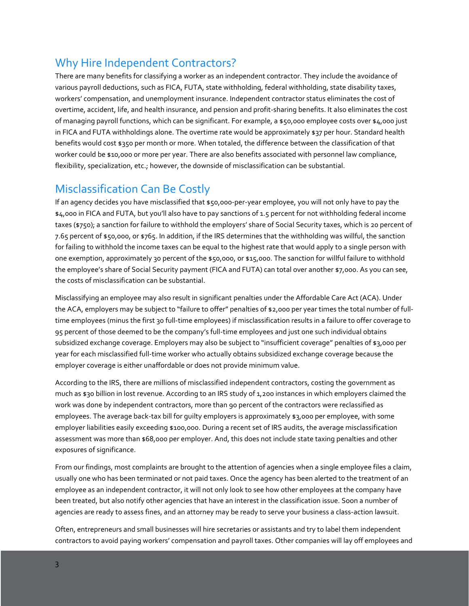#### Why Hire Independent Contractors?

There are many benefits for classifying a worker as an independent contractor. They include the avoidance of various payroll deductions, such as FICA, FUTA, state withholding, federal withholding, state disability taxes, workers' compensation, and unemployment insurance. Independent contractor status eliminates the cost of overtime, accident, life, and health insurance, and pension and profit-sharing benefits. It also eliminates the cost of managing payroll functions, which can be significant. For example, a \$50,000 employee costs over \$4,000 just in FICA and FUTA withholdings alone. The overtime rate would be approximately \$37 per hour. Standard health benefits would cost \$350 per month or more. When totaled, the difference between the classification of that worker could be \$10,000 or more per year. There are also benefits associated with personnel law compliance, flexibility, specialization, etc.; however, the downside of misclassification can be substantial.

#### Misclassification Can Be Costly

If an agency decides you have misclassified that \$50,000-per-year employee, you will not only have to pay the \$4,000 in FICA and FUTA, but you'll also have to pay sanctions of 1.5 percent for not withholding federal income taxes (\$750); a sanction for failure to withhold the employers' share of Social Security taxes, which is 20 percent of 7.65 percent of \$50,000, or \$765. In addition, if the IRS determines that the withholding was willful, the sanction for failing to withhold the income taxes can be equal to the highest rate that would apply to a single person with one exemption, approximately 30 percent of the \$50,000, or \$15,000. The sanction for willful failure to withhold the employee's share of Social Security payment (FICA and FUTA) can total over another \$7,000. As you can see, the costs of misclassification can be substantial.

Misclassifying an employee may also result in significant penalties under the Affordable Care Act (ACA). Under the ACA, employers may be subject to "failure to offer" penalties of \$2,000 per year times the total number of fulltime employees (minus the first 30 full-time employees) if misclassification results in a failure to offer coverage to 95 percent of those deemed to be the company's full-time employees and just one such individual obtains subsidized exchange coverage. Employers may also be subject to "insufficient coverage" penalties of \$3,000 per year for each misclassified full-time worker who actually obtains subsidized exchange coverage because the employer coverage is either unaffordable or does not provide minimum value.

According to the IRS, there are millions of misclassified independent contractors, costing the government as much as \$30 billion in lost revenue. According to an IRS study of 1,200 instances in which employers claimed the work was done by independent contractors, more than 90 percent of the contractors were reclassified as employees. The average back-tax bill for guilty employers is approximately \$3,000 per employee, with some employer liabilities easily exceeding \$100,000. During a recent set of IRS audits, the average misclassification assessment was more than \$68,000 per employer. And, this does not include state taxing penalties and other exposures of significance.

From our findings, most complaints are brought to the attention of agencies when a single employee files a claim, usually one who has been terminated or not paid taxes. Once the agency has been alerted to the treatment of an employee as an independent contractor, it will not only look to see how other employees at the company have been treated, but also notify other agencies that have an interest in the classification issue. Soon a number of agencies are ready to assess fines, and an attorney may be ready to serve your business a class-action lawsuit.

Often, entrepreneurs and small businesses will hire secretaries or assistants and try to label them independent contractors to avoid paying workers' compensation and payroll taxes. Other companies will lay off employees and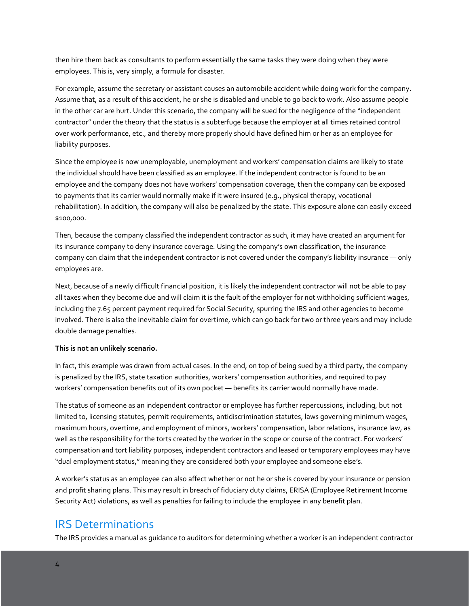then hire them back as consultants to perform essentially the same tasks they were doing when they were employees. This is, very simply, a formula for disaster.

For example, assume the secretary or assistant causes an automobile accident while doing work for the company. Assume that, as a result of this accident, he or she is disabled and unable to go back to work. Also assume people in the other car are hurt. Under this scenario, the company will be sued for the negligence of the "independent contractor" under the theory that the status is a subterfuge because the employer at all times retained control over work performance, etc., and thereby more properly should have defined him or her as an employee for liability purposes.

Since the employee is now unemployable, unemployment and workers' compensation claims are likely to state the individual should have been classified as an employee. If the independent contractor is found to be an employee and the company does not have workers' compensation coverage, then the company can be exposed to payments that its carrier would normally make if it were insured (e.g., physical therapy, vocational rehabilitation). In addition, the company will also be penalized by the state. This exposure alone can easily exceed \$100,000.

Then, because the company classified the independent contractor as such, it may have created an argument for its insurance company to deny insurance coverage*.* Using the company's own classification, the insurance company can claim that the independent contractor is not covered under the company's liability insurance — only employees are.

Next, because of a newly difficult financial position, it is likely the independent contractor will not be able to pay all taxes when they become due and will claim it is the fault of the employer for not withholding sufficient wages, including the 7.65 percent payment required for Social Security, spurring the IRS and other agencies to become involved. There is also the inevitable claim for overtime, which can go back for two or three years and may include double damage penalties.

#### **This is not an unlikely scenario.**

In fact, this example was drawn from actual cases. In the end, on top of being sued by a third party, the company is penalized by the IRS, state taxation authorities, workers' compensation authorities, and required to pay workers' compensation benefits out of its own pocket — benefits its carrier would normally have made.

The status of someone as an independent contractor or employee has further repercussions, including, but not limited to, licensing statutes, permit requirements, antidiscrimination statutes, laws governing minimum wages, maximum hours, overtime, and employment of minors, workers' compensation, labor relations, insurance law, as well as the responsibility for the torts created by the worker in the scope or course of the contract. For workers' compensation and tort liability purposes, independent contractors and leased or temporary employees may have "dual employment status," meaning they are considered both your employee and someone else's.

A worker's status as an employee can also affect whether or not he or she is covered by your insurance or pension and profit sharing plans. This may result in breach of fiduciary duty claims, ERISA (Employee Retirement Income Security Act) violations, as well as penalties for failing to include the employee in any benefit plan.

#### IRS Determinations

The IRS provides a manual as guidance to auditors for determining whether a worker is an independent contractor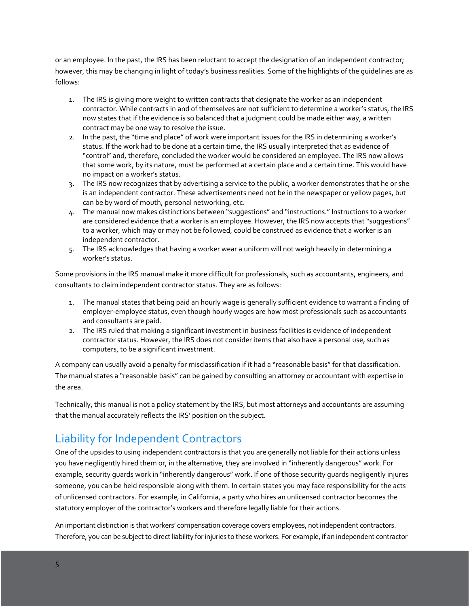or an employee. In the past, the IRS has been reluctant to accept the designation of an independent contractor; however, this may be changing in light of today's business realities. Some of the highlights of the guidelines are as follows:

- 1. The IRS is giving more weight to written contracts that designate the worker as an independent contractor. While contracts in and of themselves are not sufficient to determine a worker's status, the IRS now states that if the evidence is so balanced that a judgment could be made either way, a written contract may be one way to resolve the issue.
- 2. In the past, the "time and place" of work were important issues for the IRS in determining a worker's status. If the work had to be done at a certain time, the IRS usually interpreted that as evidence of "control" and, therefore, concluded the worker would be considered an employee. The IRS now allows that some work, by its nature, must be performed at a certain place and a certain time. This would have no impact on a worker's status.
- 3. The IRS now recognizes that by advertising a service to the public, a worker demonstrates that he or she is an independent contractor. These advertisements need not be in the newspaper or yellow pages, but can be by word of mouth, personal networking, etc.
- 4. The manual now makes distinctions between "suggestions" and "instructions." Instructions to a worker are considered evidence that a worker is an employee. However, the IRS now accepts that "suggestions" to a worker, which may or may not be followed, could be construed as evidence that a worker is an independent contractor.
- 5. The IRS acknowledges that having a worker wear a uniform will not weigh heavily in determining a worker's status.

Some provisions in the IRS manual make it more difficult for professionals, such as accountants, engineers, and consultants to claim independent contractor status. They are as follows:

- 1. The manual states that being paid an hourly wage is generally sufficient evidence to warrant a finding of employer-employee status, even though hourly wages are how most professionals such as accountants and consultants are paid.
- 2. The IRS ruled that making a significant investment in business facilities is evidence of independent contractor status. However, the IRS does not consider items that also have a personal use, such as computers, to be a significant investment.

A company can usually avoid a penalty for misclassification if it had a "reasonable basis" for that classification. The manual states a "reasonable basis" can be gained by consulting an attorney or accountant with expertise in the area.

Technically, this manual is not a policy statement by the IRS, but most attorneys and accountants are assuming that the manual accurately reflects the IRS' position on the subject.

### Liability for Independent Contractors

One of the upsides to using independent contractors is that you are generally not liable for their actions unless you have negligently hired them or, in the alternative, they are involved in "inherently dangerous" work. For example, security guards work in "inherently dangerous" work. If one of those security guards negligently injures someone, you can be held responsible along with them. In certain states you may face responsibility for the acts of unlicensed contractors. For example, in California, a party who hires an unlicensed contractor becomes the statutory employer of the contractor's workers and therefore legally liable for their actions.

An important distinction is that workers' compensation coverage covers employees, not independent contractors. Therefore, you can be subject to direct liability for injuries to these workers. For example, if an independent contractor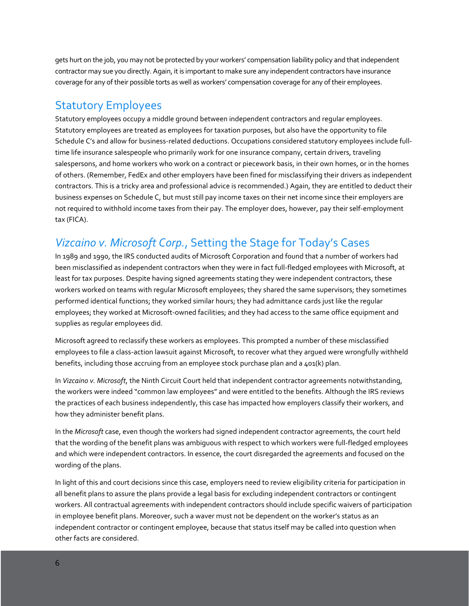gets hurt on the job, you may not be protected by your workers' compensation liability policy and that independent contractor may sue you directly. Again, it is important to make sure any independent contractors have insurance coverage for any of their possible torts as well as workers' compensation coverage for any of their employees.

#### Statutory Employees

Statutory employees occupy a middle ground between independent contractors and regular employees. Statutory employees are treated as employees for taxation purposes, but also have the opportunity to file Schedule C's and allow for business-related deductions. Occupations considered statutory employees include fulltime life insurance salespeople who primarily work for one insurance company, certain drivers, traveling salespersons, and home workers who work on a contract or piecework basis, in their own homes, or in the homes of others. (Remember, FedEx and other employers have been fined for misclassifying their drivers as independent contractors. This is a tricky area and professional advice is recommended.) Again, they are entitled to deduct their business expenses on Schedule C, but must still pay income taxes on their net income since their employers are not required to withhold income taxes from their pay. The employer does, however, pay their self-employment tax (FICA).

### *Vizcaino v. Microsoft Corp.*, Setting the Stage for Today's Cases

In 1989 and 1990, the IRS conducted audits of Microsoft Corporation and found that a number of workers had been misclassified as independent contractors when they were in fact full-fledged employees with Microsoft, at least for tax purposes. Despite having signed agreements stating they were independent contractors, these workers worked on teams with regular Microsoft employees; they shared the same supervisors; they sometimes performed identical functions; they worked similar hours; they had admittance cards just like the regular employees; they worked at Microsoft-owned facilities; and they had access to the same office equipment and supplies as regular employees did.

Microsoft agreed to reclassify these workers as employees. This prompted a number of these misclassified employees to file a class-action lawsuit against Microsoft, to recover what they argued were wrongfully withheld benefits, including those accruing from an employee stock purchase plan and a 401(k) plan.

In *Vizcaino v. Microsoft*, the Ninth Circuit Court held that independent contractor agreements notwithstanding, the workers were indeed "common law employees" and were entitled to the benefits. Although the IRS reviews the practices of each business independently, this case has impacted how employers classify their workers, and how they administer benefit plans.

In the *Microsoft* case, even though the workers had signed independent contractor agreements, the court held that the wording of the benefit plans was ambiguous with respect to which workers were full-fledged employees and which were independent contractors. In essence, the court disregarded the agreements and focused on the wording of the plans.

In light of this and court decisions since this case, employers need to review eligibility criteria for participation in all benefit plans to assure the plans provide a legal basis for excluding independent contractors or contingent workers. All contractual agreements with independent contractors should include specific waivers of participation in employee benefit plans. Moreover, such a waver must not be dependent on the worker's status as an independent contractor or contingent employee, because that status itself may be called into question when other facts are considered.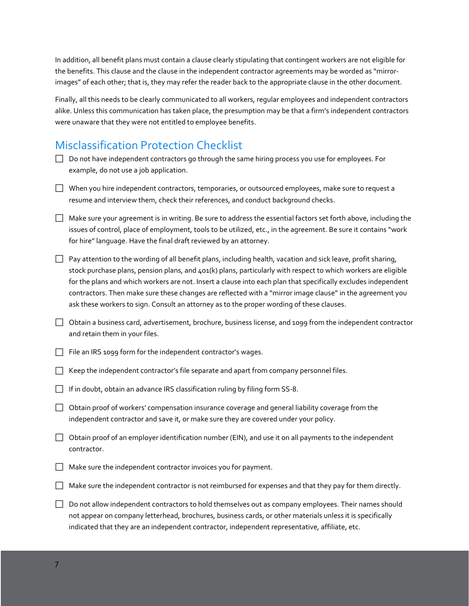In addition, all benefit plans must contain a clause clearly stipulating that contingent workers are not eligible for the benefits. This clause and the clause in the independent contractor agreements may be worded as "mirrorimages" of each other; that is, they may refer the reader back to the appropriate clause in the other document.

Finally, all this needs to be clearly communicated to all workers, regular employees and independent contractors alike. Unless this communication has taken place, the presumption may be that a firm's independent contractors were unaware that they were not entitled to employee benefits.

### Misclassification Protection Checklist

- Do not have independent contractors go through the same hiring process you use for employees. For example, do not use a job application.
- When you hire independent contractors, temporaries, or outsourced employees, make sure to request a resume and interview them, check their references, and conduct background checks.
- Make sure your agreement is in writing. Be sure to address the essential factors set forth above, including the issues of control, place of employment, tools to be utilized, etc., in the agreement. Be sure it contains "work for hire" language. Have the final draft reviewed by an attorney.
- $\Box$  Pay attention to the wording of all benefit plans, including health, vacation and sick leave, profit sharing, stock purchase plans, pension plans, and 401(k) plans, particularly with respect to which workers are eligible for the plans and which workers are not. Insert a clause into each plan that specifically excludes independent contractors. Then make sure these changes are reflected with a "mirror image clause" in the agreement you ask these workers to sign. Consult an attorney as to the proper wording of these clauses.
- $\Box$  Obtain a business card, advertisement, brochure, business license, and 1099 from the independent contractor and retain them in your files.
- $\Box$  File an IRS 1099 form for the independent contractor's wages.
- $\Box$  Keep the independent contractor's file separate and apart from company personnel files.
- If in doubt, obtain an advance IRS classification ruling by filing form  $SS-8$ .
- Obtain proof of workers' compensation insurance coverage and general liability coverage from the independent contractor and save it, or make sure they are covered under your policy.
- $\Box$  Obtain proof of an employer identification number (EIN), and use it on all payments to the independent contractor.
- $\Box$  Make sure the independent contractor invoices you for payment.
- $\Box$  Make sure the independent contractor is not reimbursed for expenses and that they pay for them directly.
- Do not allow independent contractors to hold themselves out as company employees. Their names should not appear on company letterhead, brochures, business cards, or other materials unless it is specifically indicated that they are an independent contractor, independent representative, affiliate, etc.